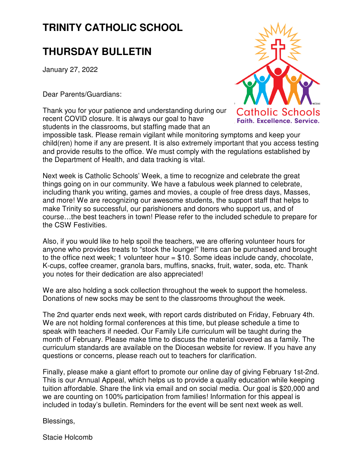## **TRINITY CATHOLIC SCHOOL**

### **THURSDAY BULLETIN**

January 27, 2022

Dear Parents/Guardians:

Thank you for your patience and understanding during our recent COVID closure. It is always our goal to have students in the classrooms, but staffing made that an



impossible task. Please remain vigilant while monitoring symptoms and keep your child(ren) home if any are present. It is also extremely important that you access testing and provide results to the office. We must comply with the regulations established by the Department of Health, and data tracking is vital.

Next week is Catholic Schools' Week, a time to recognize and celebrate the great things going on in our community. We have a fabulous week planned to celebrate, including thank you writing, games and movies, a couple of free dress days, Masses, and more! We are recognizing our awesome students, the support staff that helps to make Trinity so successful, our parishioners and donors who support us, and of course…the best teachers in town! Please refer to the included schedule to prepare for the CSW Festivities.

Also, if you would like to help spoil the teachers, we are offering volunteer hours for anyone who provides treats to "stock the lounge!" Items can be purchased and brought to the office next week; 1 volunteer hour  $= $10$ . Some ideas include candy, chocolate, K-cups, coffee creamer, granola bars, muffins, snacks, fruit, water, soda, etc. Thank you notes for their dedication are also appreciated!

We are also holding a sock collection throughout the week to support the homeless. Donations of new socks may be sent to the classrooms throughout the week.

The 2nd quarter ends next week, with report cards distributed on Friday, February 4th. We are not holding formal conferences at this time, but please schedule a time to speak with teachers if needed. Our Family Life curriculum will be taught during the month of February. Please make time to discuss the material covered as a family. The curriculum standards are available on the Diocesan website for review. If you have any questions or concerns, please reach out to teachers for clarification.

Finally, please make a giant effort to promote our online day of giving February 1st-2nd. This is our Annual Appeal, which helps us to provide a quality education while keeping tuition affordable. Share the link via email and on social media. Our goal is \$20,000 and we are counting on 100% participation from families! Information for this appeal is included in today's bulletin. Reminders for the event will be sent next week as well.

Blessings,

Stacie Holcomb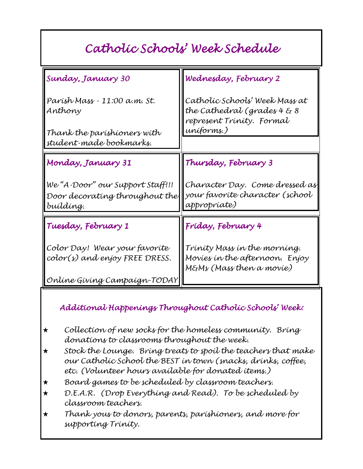## Catholic Schools' Week Schedule

| Sunday, January 30                                                              | Wednesday, February 2                                                                      |
|---------------------------------------------------------------------------------|--------------------------------------------------------------------------------------------|
| Parísh Mass - 11:00 a.m. St.<br>Anthony                                         | Catholíc Schools' Week Mass at<br>the Cathedral (grades 4 & 8<br>represent Trinity. Formal |
| Thank the paríshíoners wíth<br>student-made bookmarks.                          | uníforms.)                                                                                 |
|                                                                                 |                                                                                            |
| Monday, January 31                                                              | Thursday, February 3                                                                       |
| We "A-Door" our Support Staff!!!<br>Door decorating throughout the<br>buíldíng. | Character Day. Come dressed as<br>your favoríte character (school<br>appropríate)          |
| Tuesday, February 1                                                             | Fríday, February 4                                                                         |
| Color Day! Wear your favorite<br>color(s) and enjoy FREE DRESS.                 | Tríníty Mass ín the morning.<br>Movies in the afternoon. Enjoy<br>M&Ms (Mass then a movíe) |
| Onlíne Gívíng Campaígn-TODAY                                                    |                                                                                            |

#### Additional Happenings Throughout Catholic Schools' Week:

- $\star$  Collection of new socks for the homeless community. Bring donations to classrooms throughout the week.
- $\star$  Stock the Lounge. Bring treats to spoil the teachers that make our Catholic School the BEST in town (snacks, drinks, coffee, etc. (Volunteer hours available for donated items.)
- i Board games to be scheduled by classroom teachers.
- $\star$  D.E.A.R. (Drop Everything and Read). To be scheduled by classroom teachers.
- $\star$  Thank yous to donors, parents, parishioners, and more for supporting Trinity.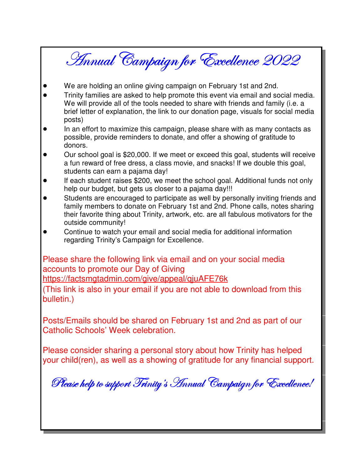# Annual Campaign for Excellence 2022

- We are holding an online giving campaign on February 1st and 2nd.
- Trinity families are asked to help promote this event via email and social media.  $\bullet$ We will provide all of the tools needed to share with friends and family (i.e. a brief letter of explanation, the link to our donation page, visuals for social media posts)
- $\bullet$ In an effort to maximize this campaign, please share with as many contacts as possible, provide reminders to donate, and offer a showing of gratitude to donors.
- Our school goal is \$20,000. If we meet or exceed this goal, students will receive  $\bullet$ a fun reward of free dress, a class movie, and snacks! If we double this goal, students can earn a pajama day!
- If each student raises \$200, we meet the school goal. Additional funds not only help our budget, but gets us closer to a pajama day!!!
- Students are encouraged to participate as well by personally inviting friends and family members to donate on February 1st and 2nd. Phone calls, notes sharing their favorite thing about Trinity, artwork, etc. are all fabulous motivators for the outside community!
- Continue to watch your email and social media for additional information regarding Trinity's Campaign for Excellence.

Please share the following link via email and on your social media accounts to promote our Day of Giving https://factsmgtadmin.com/give/appeal/gjuAFE76k

(This link is also in your email if you are not able to download from this bulletin.)

Posts/Emails should be shared on February 1st and 2nd as part of our Catholic Schools' Week celebration.

Please consider sharing a personal story about how Trinity has helped your child(ren), as well as a showing of gratitude for any financial support.

Please help to support Trinity's Annual Campaign for Excellence!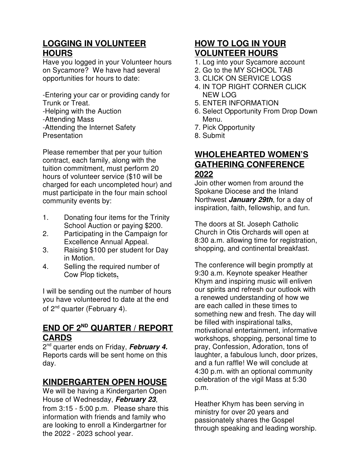#### **LOGGING IN VOLUNTEER HOURS**

Have you logged in your Volunteer hours on Sycamore? We have had several opportunities for hours to date:

-Entering your car or providing candy for Trunk or Treat.

-Helping with the Auction -Attending Mass -Attending the Internet Safety **Presentation** 

Please remember that per your tuition contract, each family, along with the tuition commitment, must perform 20 hours of volunteer service (\$10 will be charged for each uncompleted hour) and must participate in the four main school community events by:

- 1. Donating four items for the Trinity School Auction or paying \$200.
- 2. Participating in the Campaign for Excellence Annual Appeal.
- 3. Raising \$100 per student for Day in Motion.
- 4. Selling the required number of Cow Plop tickets**.**

I will be sending out the number of hours you have volunteered to date at the end of 2<sup>nd</sup> quarter (February 4).

#### **END OF 2ND QUARTER / REPORT CARDS**

2 nd quarter ends on Friday, **February 4.**  Reports cards will be sent home on this day.

#### **KINDERGARTEN OPEN HOUSE**

We will be having a Kindergarten Open House of Wednesday, **February 23**, from 3:15 - 5:00 p.m. Please share this information with friends and family who are looking to enroll a Kindergartner for the 2022 - 2023 school year.

#### **HOW TO LOG IN YOUR VOLUNTEER HOURS**

- 1. Log into your Sycamore account
- 2. Go to the MY SCHOOL TAB
- 3. CLICK ON SERVICE LOGS
- 4. IN TOP RIGHT CORNER CLICK NEW LOG
- 5. ENTER INFORMATION
- 6. Select Opportunity From Drop Down Menu.
- 7. Pick Opportunity
- 8. Submit

#### **WHOLEHEARTED WOMEN'S GATHERING CONFERENCE 2022**

Join other women from around the Spokane Diocese and the Inland Northwest **January 29th**, for a day of inspiration, faith, fellowship, and fun.

The doors at St. Joseph Catholic Church in Otis Orchards will open at 8:30 a.m. allowing time for registration, shopping, and continental breakfast.

The conference will begin promptly at 9:30 a.m. Keynote speaker Heather Khym and inspiring music will enliven our spirits and refresh our outlook with a renewed understanding of how we are each called in these times to something new and fresh. The day will be filled with inspirational talks, motivational entertainment, informative workshops, shopping, personal time to pray, Confession, Adoration, tons of laughter, a fabulous lunch, door prizes, and a fun raffle! We will conclude at 4:30 p.m. with an optional community celebration of the vigil Mass at 5:30 p.m.

Heather Khym has been serving in ministry for over 20 years and passionately shares the Gospel through speaking and leading worship.